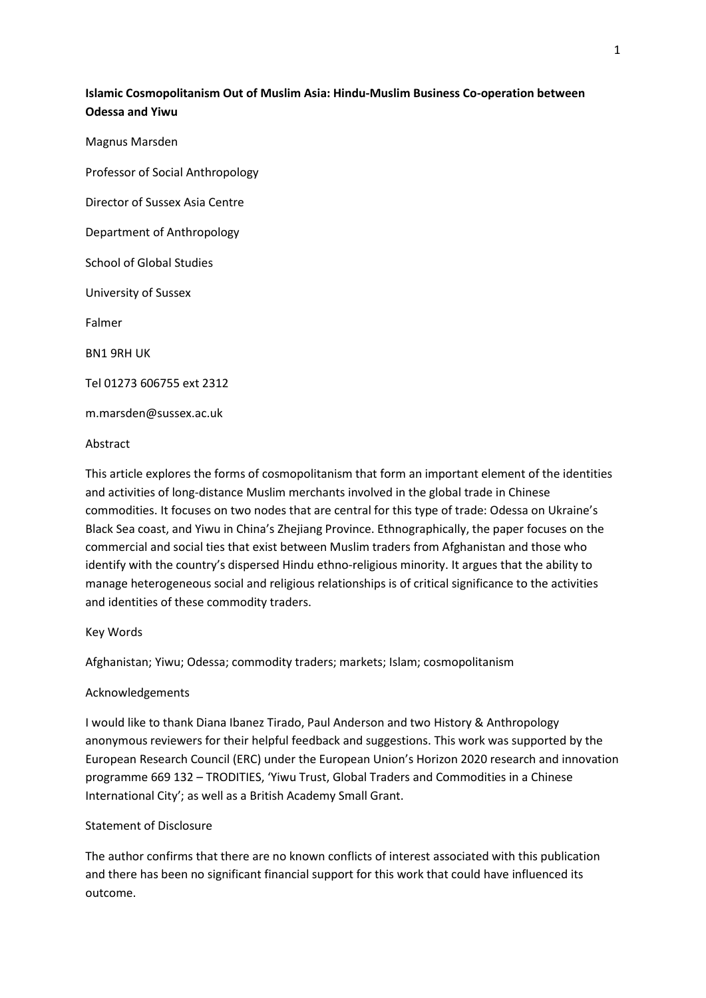# **Islamic Cosmopolitanism Out of Muslim Asia: Hindu-Muslim Business Co-operation between Odessa and Yiwu**

Magnus Marsden Professor of Social Anthropology Director of Sussex Asia Centre Department of Anthropology School of Global Studies University of Sussex Falmer BN1 9RH UK Tel 01273 606755 ext 2312 m.marsden@sussex.ac.uk

### Abstract

This article explores the forms of cosmopolitanism that form an important element of the identities and activities of long-distance Muslim merchants involved in the global trade in Chinese commodities. It focuses on two nodes that are central for this type of trade: Odessa on Ukraine's Black Sea coast, and Yiwu in China's Zhejiang Province. Ethnographically, the paper focuses on the commercial and social ties that exist between Muslim traders from Afghanistan and those who identify with the country's dispersed Hindu ethno-religious minority. It argues that the ability to manage heterogeneous social and religious relationships is of critical significance to the activities and identities of these commodity traders.

### Key Words

Afghanistan; Yiwu; Odessa; commodity traders; markets; Islam; cosmopolitanism

### Acknowledgements

I would like to thank Diana Ibanez Tirado, Paul Anderson and two History & Anthropology anonymous reviewers for their helpful feedback and suggestions. This work was supported by the European Research Council (ERC) under the European Union's Horizon 2020 research and innovation programme 669 132 – TRODITIES, 'Yiwu Trust, Global Traders and Commodities in a Chinese International City'; as well as a British Academy Small Grant.

# Statement of Disclosure

The author confirms that there are no known conflicts of interest associated with this publication and there has been no significant financial support for this work that could have influenced its outcome.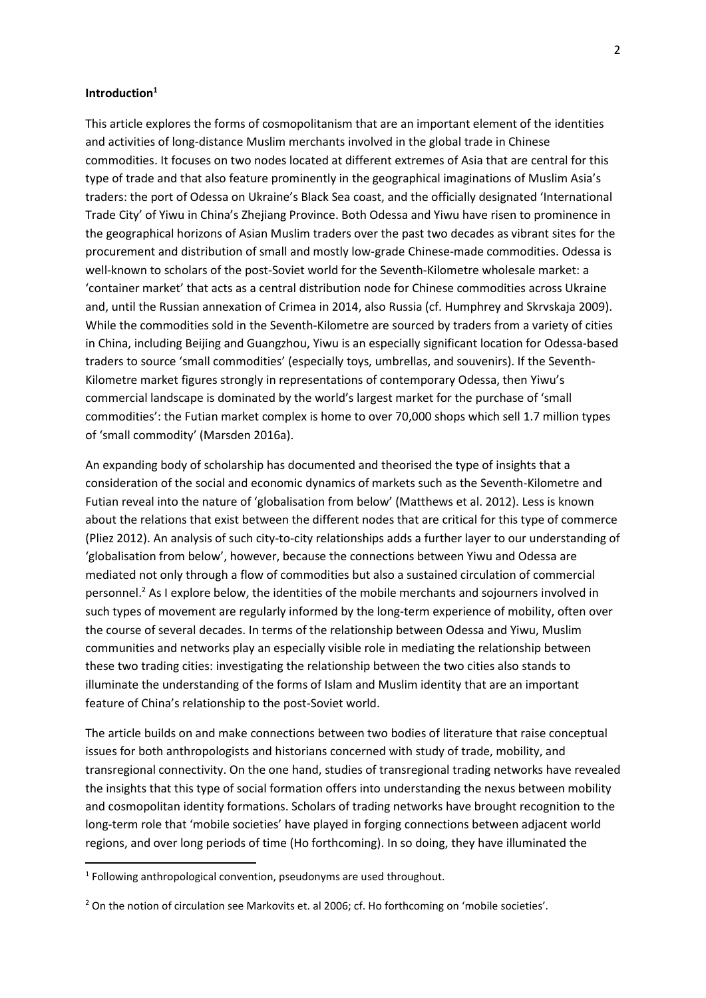#### **Introduction<sup>1</sup>**

This article explores the forms of cosmopolitanism that are an important element of the identities and activities of long-distance Muslim merchants involved in the global trade in Chinese commodities. It focuses on two nodes located at different extremes of Asia that are central for this type of trade and that also feature prominently in the geographical imaginations of Muslim Asia's traders: the port of Odessa on Ukraine's Black Sea coast, and the officially designated 'International Trade City' of Yiwu in China's Zhejiang Province. Both Odessa and Yiwu have risen to prominence in the geographical horizons of Asian Muslim traders over the past two decades as vibrant sites for the procurement and distribution of small and mostly low-grade Chinese-made commodities. Odessa is well-known to scholars of the post-Soviet world for the Seventh-Kilometre wholesale market: a 'container market' that acts as a central distribution node for Chinese commodities across Ukraine and, until the Russian annexation of Crimea in 2014, also Russia (cf. Humphrey and Skrvskaja 2009). While the commodities sold in the Seventh-Kilometre are sourced by traders from a variety of cities in China, including Beijing and Guangzhou, Yiwu is an especially significant location for Odessa-based traders to source 'small commodities' (especially toys, umbrellas, and souvenirs). If the Seventh-Kilometre market figures strongly in representations of contemporary Odessa, then Yiwu's commercial landscape is dominated by the world's largest market for the purchase of 'small commodities': the Futian market complex is home to over 70,000 shops which sell 1.7 million types of 'small commodity' (Marsden 2016a).

An expanding body of scholarship has documented and theorised the type of insights that a consideration of the social and economic dynamics of markets such as the Seventh-Kilometre and Futian reveal into the nature of 'globalisation from below' (Matthews et al. 2012). Less is known about the relations that exist between the different nodes that are critical for this type of commerce (Pliez 2012). An analysis of such city-to-city relationships adds a further layer to our understanding of 'globalisation from below', however, because the connections between Yiwu and Odessa are mediated not only through a flow of commodities but also a sustained circulation of commercial personnel.<sup>2</sup> As I explore below, the identities of the mobile merchants and sojourners involved in such types of movement are regularly informed by the long-term experience of mobility, often over the course of several decades. In terms of the relationship between Odessa and Yiwu, Muslim communities and networks play an especially visible role in mediating the relationship between these two trading cities: investigating the relationship between the two cities also stands to illuminate the understanding of the forms of Islam and Muslim identity that are an important feature of China's relationship to the post-Soviet world.

The article builds on and make connections between two bodies of literature that raise conceptual issues for both anthropologists and historians concerned with study of trade, mobility, and transregional connectivity. On the one hand, studies of transregional trading networks have revealed the insights that this type of social formation offers into understanding the nexus between mobility and cosmopolitan identity formations. Scholars of trading networks have brought recognition to the long-term role that 'mobile societies' have played in forging connections between adjacent world regions, and over long periods of time (Ho forthcoming). In so doing, they have illuminated the

<sup>&</sup>lt;sup>1</sup> Following anthropological convention, pseudonyms are used throughout.

<sup>&</sup>lt;sup>2</sup> On the notion of circulation see Markovits et. al 2006; cf. Ho forthcoming on 'mobile societies'.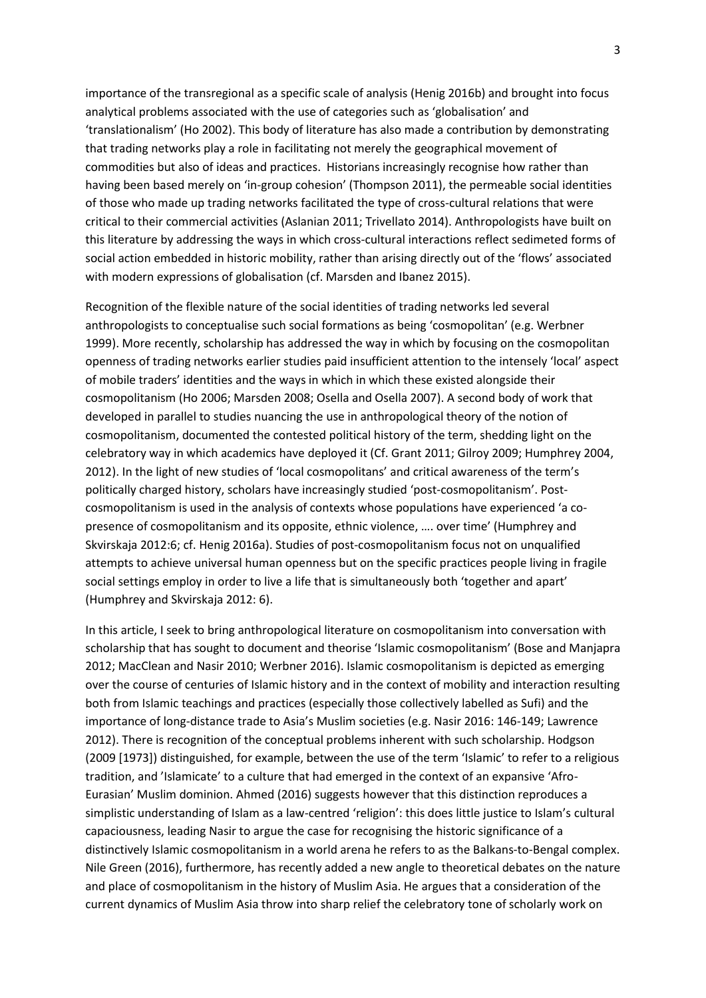importance of the transregional as a specific scale of analysis (Henig 2016b) and brought into focus analytical problems associated with the use of categories such as 'globalisation' and 'translationalism' (Ho 2002). This body of literature has also made a contribution by demonstrating that trading networks play a role in facilitating not merely the geographical movement of commodities but also of ideas and practices. Historians increasingly recognise how rather than having been based merely on 'in-group cohesion' (Thompson 2011), the permeable social identities of those who made up trading networks facilitated the type of cross-cultural relations that were critical to their commercial activities (Aslanian 2011; Trivellato 2014). Anthropologists have built on this literature by addressing the ways in which cross-cultural interactions reflect sedimeted forms of social action embedded in historic mobility, rather than arising directly out of the 'flows' associated with modern expressions of globalisation (cf. Marsden and Ibanez 2015).

Recognition of the flexible nature of the social identities of trading networks led several anthropologists to conceptualise such social formations as being 'cosmopolitan' (e.g. Werbner 1999). More recently, scholarship has addressed the way in which by focusing on the cosmopolitan openness of trading networks earlier studies paid insufficient attention to the intensely 'local' aspect of mobile traders' identities and the ways in which in which these existed alongside their cosmopolitanism (Ho 2006; Marsden 2008; Osella and Osella 2007). A second body of work that developed in parallel to studies nuancing the use in anthropological theory of the notion of cosmopolitanism, documented the contested political history of the term, shedding light on the celebratory way in which academics have deployed it (Cf. Grant 2011; Gilroy 2009; Humphrey 2004, 2012). In the light of new studies of 'local cosmopolitans' and critical awareness of the term's politically charged history, scholars have increasingly studied 'post-cosmopolitanism'. Postcosmopolitanism is used in the analysis of contexts whose populations have experienced 'a copresence of cosmopolitanism and its opposite, ethnic violence, …. over time' (Humphrey and Skvirskaja 2012:6; cf. Henig 2016a). Studies of post-cosmopolitanism focus not on unqualified attempts to achieve universal human openness but on the specific practices people living in fragile social settings employ in order to live a life that is simultaneously both 'together and apart' (Humphrey and Skvirskaja 2012: 6).

In this article, I seek to bring anthropological literature on cosmopolitanism into conversation with scholarship that has sought to document and theorise 'Islamic cosmopolitanism' (Bose and Manjapra 2012; MacClean and Nasir 2010; Werbner 2016). Islamic cosmopolitanism is depicted as emerging over the course of centuries of Islamic history and in the context of mobility and interaction resulting both from Islamic teachings and practices (especially those collectively labelled as Sufi) and the importance of long-distance trade to Asia's Muslim societies (e.g. Nasir 2016: 146-149; Lawrence 2012). There is recognition of the conceptual problems inherent with such scholarship. Hodgson (2009 [1973]) distinguished, for example, between the use of the term 'Islamic' to refer to a religious tradition, and 'Islamicate' to a culture that had emerged in the context of an expansive 'Afro-Eurasian' Muslim dominion. Ahmed (2016) suggests however that this distinction reproduces a simplistic understanding of Islam as a law-centred 'religion': this does little justice to Islam's cultural capaciousness, leading Nasir to argue the case for recognising the historic significance of a distinctively Islamic cosmopolitanism in a world arena he refers to as the Balkans-to-Bengal complex. Nile Green (2016), furthermore, has recently added a new angle to theoretical debates on the nature and place of cosmopolitanism in the history of Muslim Asia. He argues that a consideration of the current dynamics of Muslim Asia throw into sharp relief the celebratory tone of scholarly work on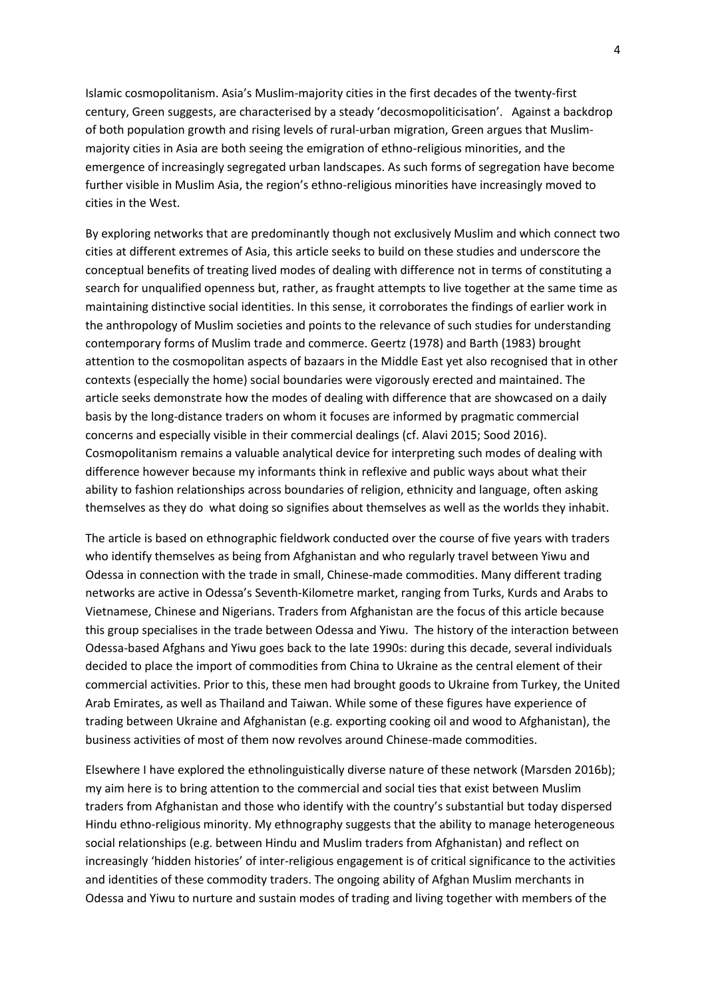Islamic cosmopolitanism. Asia's Muslim-majority cities in the first decades of the twenty-first century, Green suggests, are characterised by a steady 'decosmopoliticisation'. Against a backdrop of both population growth and rising levels of rural-urban migration, Green argues that Muslimmajority cities in Asia are both seeing the emigration of ethno-religious minorities, and the emergence of increasingly segregated urban landscapes. As such forms of segregation have become further visible in Muslim Asia, the region's ethno-religious minorities have increasingly moved to cities in the West.

By exploring networks that are predominantly though not exclusively Muslim and which connect two cities at different extremes of Asia, this article seeks to build on these studies and underscore the conceptual benefits of treating lived modes of dealing with difference not in terms of constituting a search for unqualified openness but, rather, as fraught attempts to live together at the same time as maintaining distinctive social identities. In this sense, it corroborates the findings of earlier work in the anthropology of Muslim societies and points to the relevance of such studies for understanding contemporary forms of Muslim trade and commerce. Geertz (1978) and Barth (1983) brought attention to the cosmopolitan aspects of bazaars in the Middle East yet also recognised that in other contexts (especially the home) social boundaries were vigorously erected and maintained. The article seeks demonstrate how the modes of dealing with difference that are showcased on a daily basis by the long-distance traders on whom it focuses are informed by pragmatic commercial concerns and especially visible in their commercial dealings (cf. Alavi 2015; Sood 2016). Cosmopolitanism remains a valuable analytical device for interpreting such modes of dealing with difference however because my informants think in reflexive and public ways about what their ability to fashion relationships across boundaries of religion, ethnicity and language, often asking themselves as they do what doing so signifies about themselves as well as the worlds they inhabit.

The article is based on ethnographic fieldwork conducted over the course of five years with traders who identify themselves as being from Afghanistan and who regularly travel between Yiwu and Odessa in connection with the trade in small, Chinese-made commodities. Many different trading networks are active in Odessa's Seventh-Kilometre market, ranging from Turks, Kurds and Arabs to Vietnamese, Chinese and Nigerians. Traders from Afghanistan are the focus of this article because this group specialises in the trade between Odessa and Yiwu. The history of the interaction between Odessa-based Afghans and Yiwu goes back to the late 1990s: during this decade, several individuals decided to place the import of commodities from China to Ukraine as the central element of their commercial activities. Prior to this, these men had brought goods to Ukraine from Turkey, the United Arab Emirates, as well as Thailand and Taiwan. While some of these figures have experience of trading between Ukraine and Afghanistan (e.g. exporting cooking oil and wood to Afghanistan), the business activities of most of them now revolves around Chinese-made commodities.

Elsewhere I have explored the ethnolinguistically diverse nature of these network (Marsden 2016b); my aim here is to bring attention to the commercial and social ties that exist between Muslim traders from Afghanistan and those who identify with the country's substantial but today dispersed Hindu ethno-religious minority. My ethnography suggests that the ability to manage heterogeneous social relationships (e.g. between Hindu and Muslim traders from Afghanistan) and reflect on increasingly 'hidden histories' of inter-religious engagement is of critical significance to the activities and identities of these commodity traders. The ongoing ability of Afghan Muslim merchants in Odessa and Yiwu to nurture and sustain modes of trading and living together with members of the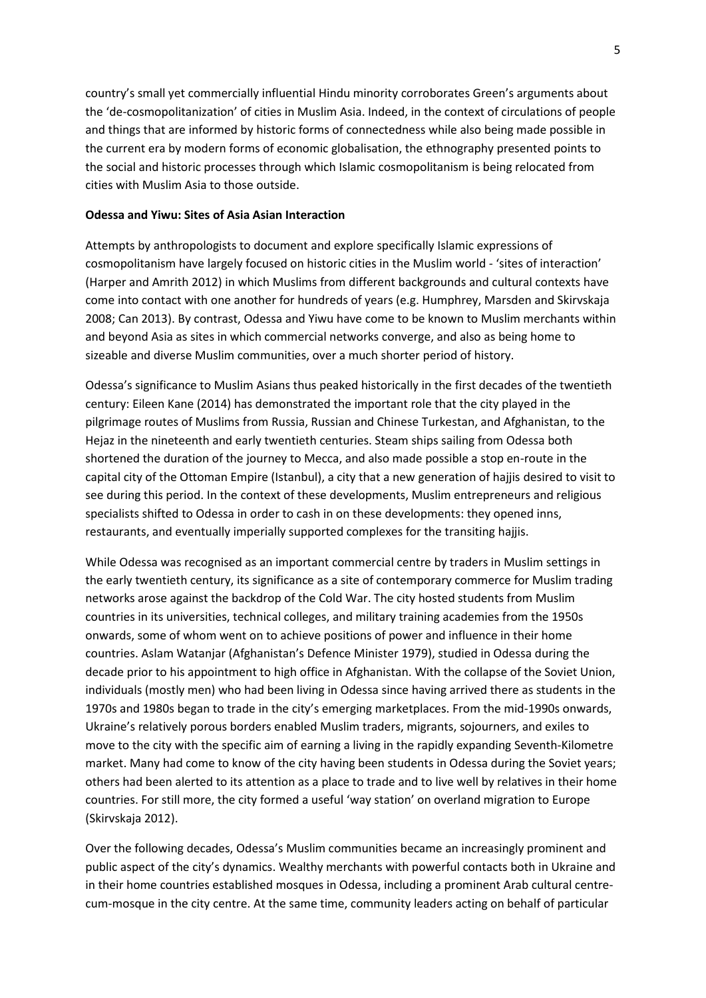country's small yet commercially influential Hindu minority corroborates Green's arguments about the 'de-cosmopolitanization' of cities in Muslim Asia. Indeed, in the context of circulations of people and things that are informed by historic forms of connectedness while also being made possible in the current era by modern forms of economic globalisation, the ethnography presented points to the social and historic processes through which Islamic cosmopolitanism is being relocated from cities with Muslim Asia to those outside.

# **Odessa and Yiwu: Sites of Asia Asian Interaction**

Attempts by anthropologists to document and explore specifically Islamic expressions of cosmopolitanism have largely focused on historic cities in the Muslim world - 'sites of interaction' (Harper and Amrith 2012) in which Muslims from different backgrounds and cultural contexts have come into contact with one another for hundreds of years (e.g. Humphrey, Marsden and Skirvskaja 2008; Can 2013). By contrast, Odessa and Yiwu have come to be known to Muslim merchants within and beyond Asia as sites in which commercial networks converge, and also as being home to sizeable and diverse Muslim communities, over a much shorter period of history.

Odessa's significance to Muslim Asians thus peaked historically in the first decades of the twentieth century: Eileen Kane (2014) has demonstrated the important role that the city played in the pilgrimage routes of Muslims from Russia, Russian and Chinese Turkestan, and Afghanistan, to the Hejaz in the nineteenth and early twentieth centuries. Steam ships sailing from Odessa both shortened the duration of the journey to Mecca, and also made possible a stop en-route in the capital city of the Ottoman Empire (Istanbul), a city that a new generation of hajjis desired to visit to see during this period. In the context of these developments, Muslim entrepreneurs and religious specialists shifted to Odessa in order to cash in on these developments: they opened inns, restaurants, and eventually imperially supported complexes for the transiting hajjis.

While Odessa was recognised as an important commercial centre by traders in Muslim settings in the early twentieth century, its significance as a site of contemporary commerce for Muslim trading networks arose against the backdrop of the Cold War. The city hosted students from Muslim countries in its universities, technical colleges, and military training academies from the 1950s onwards, some of whom went on to achieve positions of power and influence in their home countries. Aslam Watanjar (Afghanistan's Defence Minister 1979), studied in Odessa during the decade prior to his appointment to high office in Afghanistan. With the collapse of the Soviet Union, individuals (mostly men) who had been living in Odessa since having arrived there as students in the 1970s and 1980s began to trade in the city's emerging marketplaces. From the mid-1990s onwards, Ukraine's relatively porous borders enabled Muslim traders, migrants, sojourners, and exiles to move to the city with the specific aim of earning a living in the rapidly expanding Seventh-Kilometre market. Many had come to know of the city having been students in Odessa during the Soviet years; others had been alerted to its attention as a place to trade and to live well by relatives in their home countries. For still more, the city formed a useful 'way station' on overland migration to Europe (Skirvskaja 2012).

Over the following decades, Odessa's Muslim communities became an increasingly prominent and public aspect of the city's dynamics. Wealthy merchants with powerful contacts both in Ukraine and in their home countries established mosques in Odessa, including a prominent Arab cultural centrecum-mosque in the city centre. At the same time, community leaders acting on behalf of particular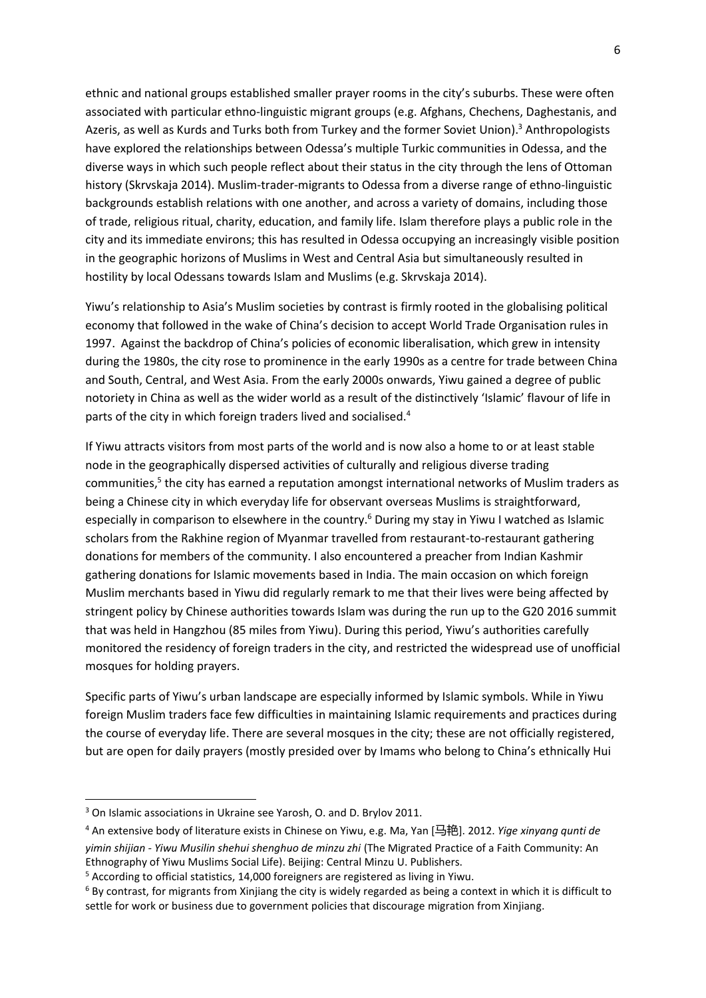ethnic and national groups established smaller prayer rooms in the city's suburbs. These were often associated with particular ethno-linguistic migrant groups (e.g. Afghans, Chechens, Daghestanis, and Azeris, as well as Kurds and Turks both from Turkey and the former Soviet Union).<sup>3</sup> Anthropologists have explored the relationships between Odessa's multiple Turkic communities in Odessa, and the diverse ways in which such people reflect about their status in the city through the lens of Ottoman history (Skrvskaja 2014). Muslim-trader-migrants to Odessa from a diverse range of ethno-linguistic backgrounds establish relations with one another, and across a variety of domains, including those of trade, religious ritual, charity, education, and family life. Islam therefore plays a public role in the city and its immediate environs; this has resulted in Odessa occupying an increasingly visible position in the geographic horizons of Muslims in West and Central Asia but simultaneously resulted in hostility by local Odessans towards Islam and Muslims (e.g. Skrvskaja 2014).

Yiwu's relationship to Asia's Muslim societies by contrast is firmly rooted in the globalising political economy that followed in the wake of China's decision to accept World Trade Organisation rules in 1997. Against the backdrop of China's policies of economic liberalisation, which grew in intensity during the 1980s, the city rose to prominence in the early 1990s as a centre for trade between China and South, Central, and West Asia. From the early 2000s onwards, Yiwu gained a degree of public notoriety in China as well as the wider world as a result of the distinctively 'Islamic' flavour of life in parts of the city in which foreign traders lived and socialised.<sup>4</sup>

If Yiwu attracts visitors from most parts of the world and is now also a home to or at least stable node in the geographically dispersed activities of culturally and religious diverse trading communities,<sup>5</sup> the city has earned a reputation amongst international networks of Muslim traders as being a Chinese city in which everyday life for observant overseas Muslims is straightforward, especially in comparison to elsewhere in the country.<sup>6</sup> During my stay in Yiwu I watched as Islamic scholars from the Rakhine region of Myanmar travelled from restaurant-to-restaurant gathering donations for members of the community. I also encountered a preacher from Indian Kashmir gathering donations for Islamic movements based in India. The main occasion on which foreign Muslim merchants based in Yiwu did regularly remark to me that their lives were being affected by stringent policy by Chinese authorities towards Islam was during the run up to the G20 2016 summit that was held in Hangzhou (85 miles from Yiwu). During this period, Yiwu's authorities carefully monitored the residency of foreign traders in the city, and restricted the widespread use of unofficial mosques for holding prayers.

Specific parts of Yiwu's urban landscape are especially informed by Islamic symbols. While in Yiwu foreign Muslim traders face few difficulties in maintaining Islamic requirements and practices during the course of everyday life. There are several mosques in the city; these are not officially registered, but are open for daily prayers (mostly presided over by Imams who belong to China's ethnically Hui

<sup>&</sup>lt;sup>3</sup> On Islamic associations in Ukraine see Yarosh, O. and D. Brylov 2011.

<sup>4</sup> An extensive body of literature exists in Chinese on Yiwu, e.g. Ma, Yan [马艳]. 2012. *Yige xinyang qunti de yimin shijian - Yiwu Musilin shehui shenghuo de minzu zhi* (The Migrated Practice of a Faith Community: An Ethnography of Yiwu Muslims Social Life). Beijing: Central Minzu U. Publishers.

<sup>&</sup>lt;sup>5</sup> According to official statistics, 14,000 foreigners are registered as living in Yiwu.

 $6$  By contrast, for migrants from Xinjiang the city is widely regarded as being a context in which it is difficult to settle for work or business due to government policies that discourage migration from Xinjiang.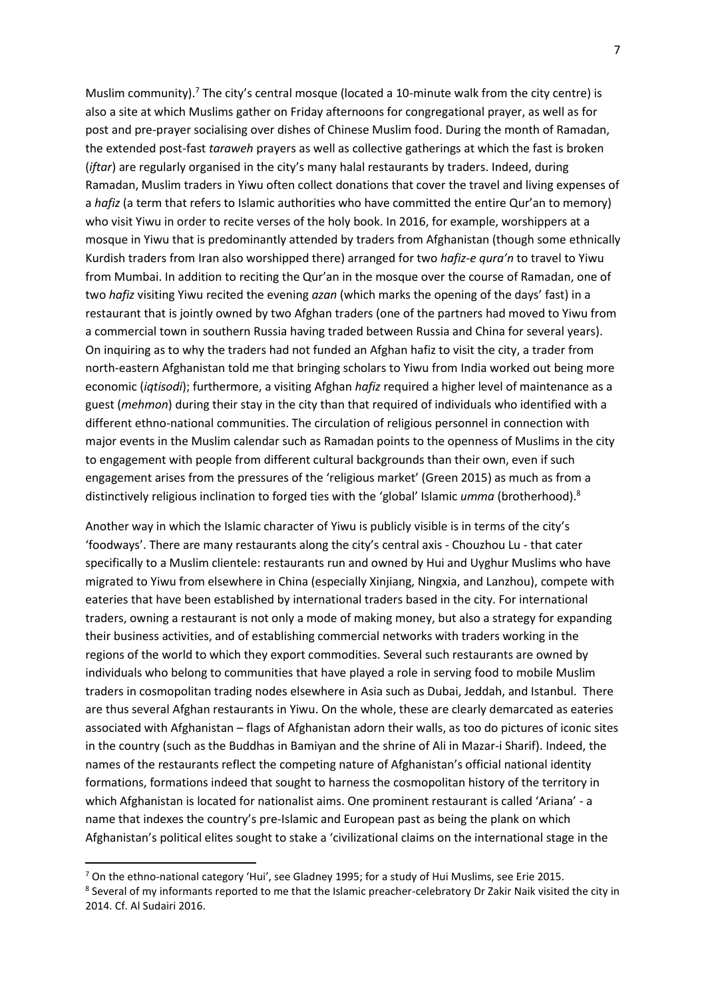Muslim community).<sup>7</sup> The city's central mosque (located a 10-minute walk from the city centre) is also a site at which Muslims gather on Friday afternoons for congregational prayer, as well as for post and pre-prayer socialising over dishes of Chinese Muslim food. During the month of Ramadan, the extended post-fast *taraweh* prayers as well as collective gatherings at which the fast is broken (*iftar*) are regularly organised in the city's many halal restaurants by traders. Indeed, during Ramadan, Muslim traders in Yiwu often collect donations that cover the travel and living expenses of a *hafiz* (a term that refers to Islamic authorities who have committed the entire Qur'an to memory) who visit Yiwu in order to recite verses of the holy book. In 2016, for example, worshippers at a mosque in Yiwu that is predominantly attended by traders from Afghanistan (though some ethnically Kurdish traders from Iran also worshipped there) arranged for two *hafiz-e qura'n* to travel to Yiwu from Mumbai. In addition to reciting the Qur'an in the mosque over the course of Ramadan, one of two *hafiz* visiting Yiwu recited the evening *azan* (which marks the opening of the days' fast) in a restaurant that is jointly owned by two Afghan traders (one of the partners had moved to Yiwu from a commercial town in southern Russia having traded between Russia and China for several years). On inquiring as to why the traders had not funded an Afghan hafiz to visit the city, a trader from north-eastern Afghanistan told me that bringing scholars to Yiwu from India worked out being more economic (*iqtisodi*); furthermore, a visiting Afghan *hafiz* required a higher level of maintenance as a guest (*mehmon*) during their stay in the city than that required of individuals who identified with a different ethno-national communities. The circulation of religious personnel in connection with major events in the Muslim calendar such as Ramadan points to the openness of Muslims in the city to engagement with people from different cultural backgrounds than their own, even if such engagement arises from the pressures of the 'religious market' (Green 2015) as much as from a distinctively religious inclination to forged ties with the 'global' Islamic *umma* (brotherhood).<sup>8</sup>

Another way in which the Islamic character of Yiwu is publicly visible is in terms of the city's 'foodways'. There are many restaurants along the city's central axis - Chouzhou Lu - that cater specifically to a Muslim clientele: restaurants run and owned by Hui and Uyghur Muslims who have migrated to Yiwu from elsewhere in China (especially Xinjiang, Ningxia, and Lanzhou), compete with eateries that have been established by international traders based in the city. For international traders, owning a restaurant is not only a mode of making money, but also a strategy for expanding their business activities, and of establishing commercial networks with traders working in the regions of the world to which they export commodities. Several such restaurants are owned by individuals who belong to communities that have played a role in serving food to mobile Muslim traders in cosmopolitan trading nodes elsewhere in Asia such as Dubai, Jeddah, and Istanbul. There are thus several Afghan restaurants in Yiwu. On the whole, these are clearly demarcated as eateries associated with Afghanistan – flags of Afghanistan adorn their walls, as too do pictures of iconic sites in the country (such as the Buddhas in Bamiyan and the shrine of Ali in Mazar-i Sharif). Indeed, the names of the restaurants reflect the competing nature of Afghanistan's official national identity formations, formations indeed that sought to harness the cosmopolitan history of the territory in which Afghanistan is located for nationalist aims. One prominent restaurant is called 'Ariana' - a name that indexes the country's pre-Islamic and European past as being the plank on which Afghanistan's political elites sought to stake a 'civilizational claims on the international stage in the

 $7$  On the ethno-national category 'Hui', see Gladney 1995; for a study of Hui Muslims, see Erie 2015. <sup>8</sup> Several of my informants reported to me that the Islamic preacher-celebratory Dr Zakir Naik visited the city in 2014. Cf. Al Sudairi 2016.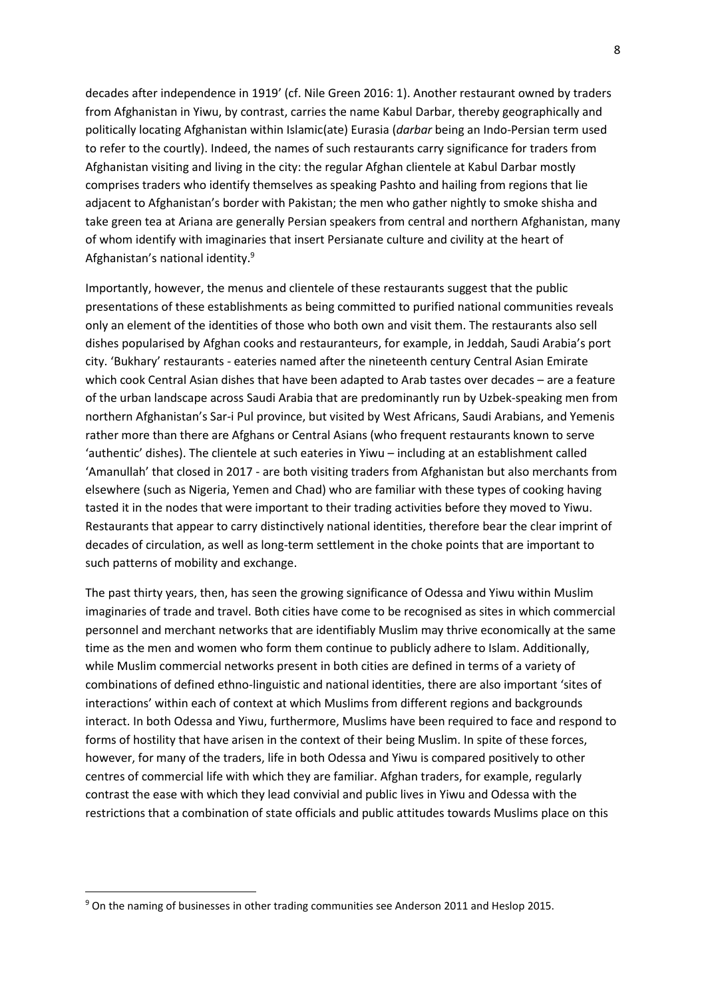decades after independence in 1919' (cf. Nile Green 2016: 1). Another restaurant owned by traders from Afghanistan in Yiwu, by contrast, carries the name Kabul Darbar, thereby geographically and politically locating Afghanistan within Islamic(ate) Eurasia (*darbar* being an Indo-Persian term used to refer to the courtly). Indeed, the names of such restaurants carry significance for traders from Afghanistan visiting and living in the city: the regular Afghan clientele at Kabul Darbar mostly comprises traders who identify themselves as speaking Pashto and hailing from regions that lie adjacent to Afghanistan's border with Pakistan; the men who gather nightly to smoke shisha and take green tea at Ariana are generally Persian speakers from central and northern Afghanistan, many of whom identify with imaginaries that insert Persianate culture and civility at the heart of Afghanistan's national identity. 9

Importantly, however, the menus and clientele of these restaurants suggest that the public presentations of these establishments as being committed to purified national communities reveals only an element of the identities of those who both own and visit them. The restaurants also sell dishes popularised by Afghan cooks and restauranteurs, for example, in Jeddah, Saudi Arabia's port city. 'Bukhary' restaurants - eateries named after the nineteenth century Central Asian Emirate which cook Central Asian dishes that have been adapted to Arab tastes over decades – are a feature of the urban landscape across Saudi Arabia that are predominantly run by Uzbek-speaking men from northern Afghanistan's Sar-i Pul province, but visited by West Africans, Saudi Arabians, and Yemenis rather more than there are Afghans or Central Asians (who frequent restaurants known to serve 'authentic' dishes). The clientele at such eateries in Yiwu – including at an establishment called 'Amanullah' that closed in 2017 - are both visiting traders from Afghanistan but also merchants from elsewhere (such as Nigeria, Yemen and Chad) who are familiar with these types of cooking having tasted it in the nodes that were important to their trading activities before they moved to Yiwu. Restaurants that appear to carry distinctively national identities, therefore bear the clear imprint of decades of circulation, as well as long-term settlement in the choke points that are important to such patterns of mobility and exchange.

The past thirty years, then, has seen the growing significance of Odessa and Yiwu within Muslim imaginaries of trade and travel. Both cities have come to be recognised as sites in which commercial personnel and merchant networks that are identifiably Muslim may thrive economically at the same time as the men and women who form them continue to publicly adhere to Islam. Additionally, while Muslim commercial networks present in both cities are defined in terms of a variety of combinations of defined ethno-linguistic and national identities, there are also important 'sites of interactions' within each of context at which Muslims from different regions and backgrounds interact. In both Odessa and Yiwu, furthermore, Muslims have been required to face and respond to forms of hostility that have arisen in the context of their being Muslim. In spite of these forces, however, for many of the traders, life in both Odessa and Yiwu is compared positively to other centres of commercial life with which they are familiar. Afghan traders, for example, regularly contrast the ease with which they lead convivial and public lives in Yiwu and Odessa with the restrictions that a combination of state officials and public attitudes towards Muslims place on this

<sup>9</sup> On the naming of businesses in other trading communities see Anderson 2011 and Heslop 2015.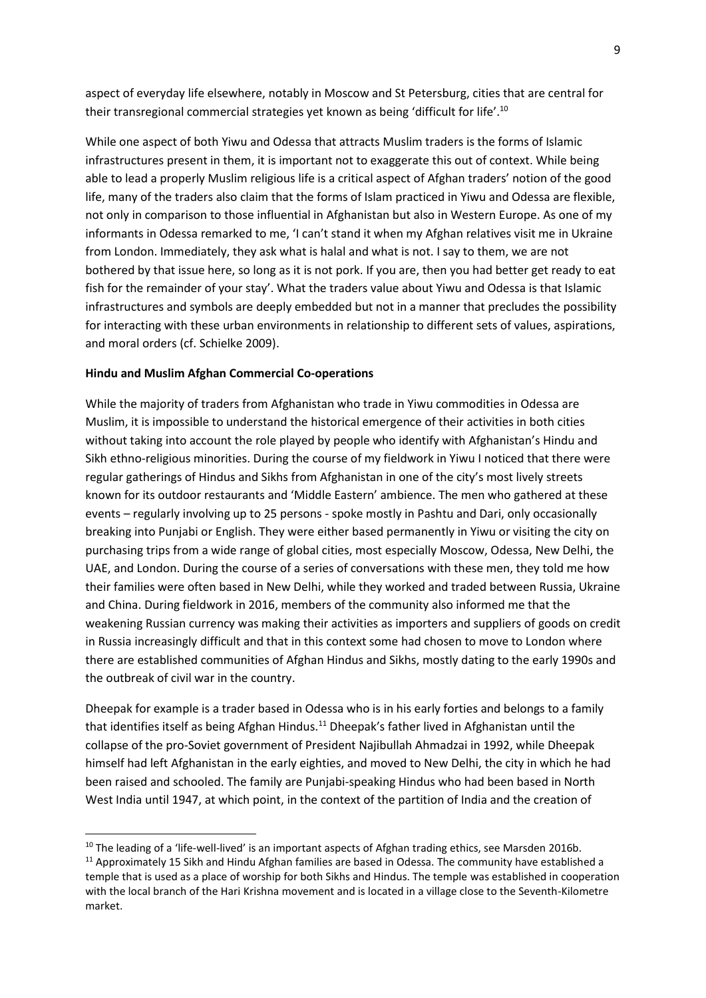aspect of everyday life elsewhere, notably in Moscow and St Petersburg, cities that are central for their transregional commercial strategies yet known as being 'difficult for life'. 10

While one aspect of both Yiwu and Odessa that attracts Muslim traders is the forms of Islamic infrastructures present in them, it is important not to exaggerate this out of context. While being able to lead a properly Muslim religious life is a critical aspect of Afghan traders' notion of the good life, many of the traders also claim that the forms of Islam practiced in Yiwu and Odessa are flexible, not only in comparison to those influential in Afghanistan but also in Western Europe. As one of my informants in Odessa remarked to me, 'I can't stand it when my Afghan relatives visit me in Ukraine from London. Immediately, they ask what is halal and what is not. I say to them, we are not bothered by that issue here, so long as it is not pork. If you are, then you had better get ready to eat fish for the remainder of your stay'. What the traders value about Yiwu and Odessa is that Islamic infrastructures and symbols are deeply embedded but not in a manner that precludes the possibility for interacting with these urban environments in relationship to different sets of values, aspirations, and moral orders (cf. Schielke 2009).

### **Hindu and Muslim Afghan Commercial Co-operations**

**.** 

While the majority of traders from Afghanistan who trade in Yiwu commodities in Odessa are Muslim, it is impossible to understand the historical emergence of their activities in both cities without taking into account the role played by people who identify with Afghanistan's Hindu and Sikh ethno-religious minorities. During the course of my fieldwork in Yiwu I noticed that there were regular gatherings of Hindus and Sikhs from Afghanistan in one of the city's most lively streets known for its outdoor restaurants and 'Middle Eastern' ambience. The men who gathered at these events – regularly involving up to 25 persons - spoke mostly in Pashtu and Dari, only occasionally breaking into Punjabi or English. They were either based permanently in Yiwu or visiting the city on purchasing trips from a wide range of global cities, most especially Moscow, Odessa, New Delhi, the UAE, and London. During the course of a series of conversations with these men, they told me how their families were often based in New Delhi, while they worked and traded between Russia, Ukraine and China. During fieldwork in 2016, members of the community also informed me that the weakening Russian currency was making their activities as importers and suppliers of goods on credit in Russia increasingly difficult and that in this context some had chosen to move to London where there are established communities of Afghan Hindus and Sikhs, mostly dating to the early 1990s and the outbreak of civil war in the country.

Dheepak for example is a trader based in Odessa who is in his early forties and belongs to a family that identifies itself as being Afghan Hindus.<sup>11</sup> Dheepak's father lived in Afghanistan until the collapse of the pro-Soviet government of President Najibullah Ahmadzai in 1992, while Dheepak himself had left Afghanistan in the early eighties, and moved to New Delhi, the city in which he had been raised and schooled. The family are Punjabi-speaking Hindus who had been based in North West India until 1947, at which point, in the context of the partition of India and the creation of

 $10$  The leading of a 'life-well-lived' is an important aspects of Afghan trading ethics, see Marsden 2016b.

 $11$  Approximately 15 Sikh and Hindu Afghan families are based in Odessa. The community have established a temple that is used as a place of worship for both Sikhs and Hindus. The temple was established in cooperation with the local branch of the Hari Krishna movement and is located in a village close to the Seventh-Kilometre market.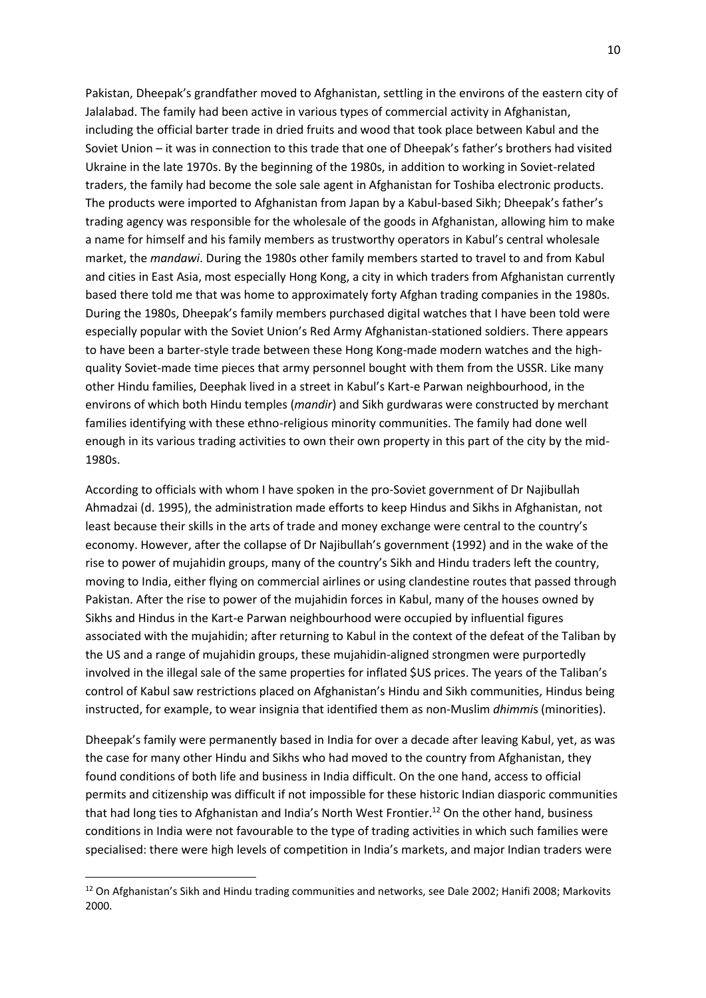Pakistan, Dheepak's grandfather moved to Afghanistan, settling in the environs of the eastern city of Jalalabad. The family had been active in various types of commercial activity in Afghanistan, including the official barter trade in dried fruits and wood that took place between Kabul and the Soviet Union – it was in connection to this trade that one of Dheepak's father's brothers had visited Ukraine in the late 1970s. By the beginning of the 1980s, in addition to working in Soviet-related traders, the family had become the sole sale agent in Afghanistan for Toshiba electronic products. The products were imported to Afghanistan from Japan by a Kabul-based Sikh; Dheepak's father's trading agency was responsible for the wholesale of the goods in Afghanistan, allowing him to make a name for himself and his family members as trustworthy operators in Kabul's central wholesale market, the *mandawi*. During the 1980s other family members started to travel to and from Kabul and cities in East Asia, most especially Hong Kong, a city in which traders from Afghanistan currently based there told me that was home to approximately forty Afghan trading companies in the 1980s. During the 1980s, Dheepak's family members purchased digital watches that I have been told were especially popular with the Soviet Union's Red Army Afghanistan-stationed soldiers. There appears to have been a barter-style trade between these Hong Kong-made modern watches and the highquality Soviet-made time pieces that army personnel bought with them from the USSR. Like many other Hindu families, Deephak lived in a street in Kabul's Kart-e Parwan neighbourhood, in the environs of which both Hindu temples (*mandir*) and Sikh gurdwaras were constructed by merchant families identifying with these ethno-religious minority communities. The family had done well enough in its various trading activities to own their own property in this part of the city by the mid-1980s.

According to officials with whom I have spoken in the pro-Soviet government of Dr Najibullah Ahmadzai (d. 1995), the administration made efforts to keep Hindus and Sikhs in Afghanistan, not least because their skills in the arts of trade and money exchange were central to the country's economy. However, after the collapse of Dr Najibullah's government (1992) and in the wake of the rise to power of mujahidin groups, many of the country's Sikh and Hindu traders left the country, moving to India, either flying on commercial airlines or using clandestine routes that passed through Pakistan. After the rise to power of the mujahidin forces in Kabul, many of the houses owned by Sikhs and Hindus in the Kart-e Parwan neighbourhood were occupied by influential figures associated with the mujahidin; after returning to Kabul in the context of the defeat of the Taliban by the US and a range of mujahidin groups, these mujahidin-aligned strongmen were purportedly involved in the illegal sale of the same properties for inflated \$US prices. The years of the Taliban's control of Kabul saw restrictions placed on Afghanistan's Hindu and Sikh communities, Hindus being instructed, for example, to wear insignia that identified them as non-Muslim *dhimmi*s (minorities).

Dheepak's family were permanently based in India for over a decade after leaving Kabul, yet, as was the case for many other Hindu and Sikhs who had moved to the country from Afghanistan, they found conditions of both life and business in India difficult. On the one hand, access to official permits and citizenship was difficult if not impossible for these historic Indian diasporic communities that had long ties to Afghanistan and India's North West Frontier. <sup>12</sup> On the other hand, business conditions in India were not favourable to the type of trading activities in which such families were specialised: there were high levels of competition in India's markets, and major Indian traders were

1

<sup>&</sup>lt;sup>12</sup> On Afghanistan's Sikh and Hindu trading communities and networks, see Dale 2002; Hanifi 2008; Markovits 2000.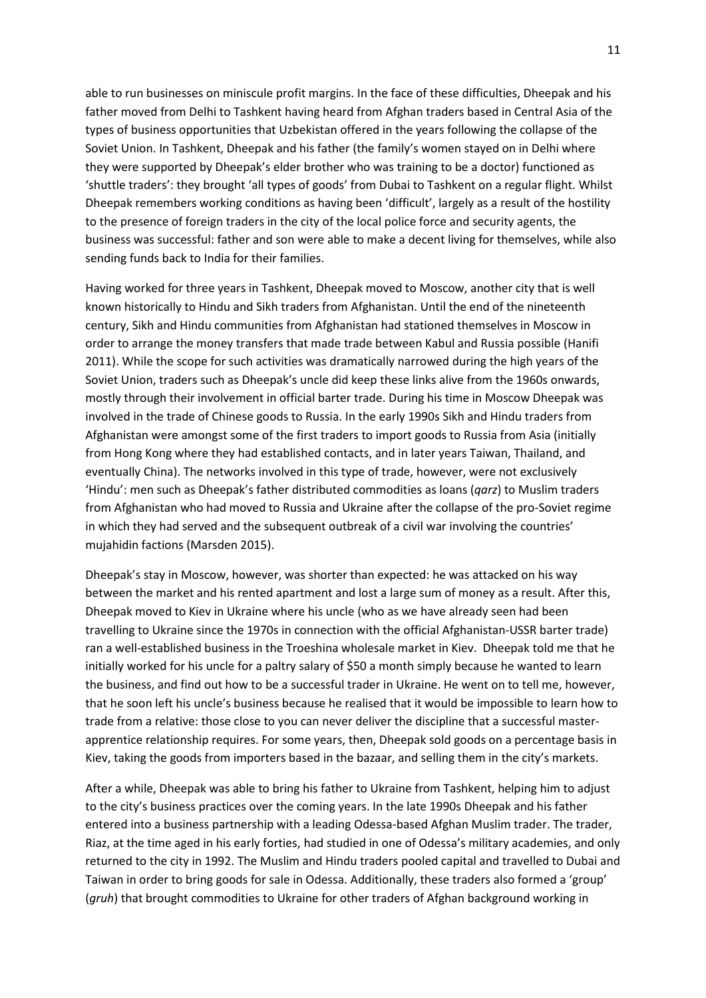able to run businesses on miniscule profit margins. In the face of these difficulties, Dheepak and his father moved from Delhi to Tashkent having heard from Afghan traders based in Central Asia of the types of business opportunities that Uzbekistan offered in the years following the collapse of the Soviet Union. In Tashkent, Dheepak and his father (the family's women stayed on in Delhi where they were supported by Dheepak's elder brother who was training to be a doctor) functioned as 'shuttle traders': they brought 'all types of goods' from Dubai to Tashkent on a regular flight. Whilst Dheepak remembers working conditions as having been 'difficult', largely as a result of the hostility to the presence of foreign traders in the city of the local police force and security agents, the business was successful: father and son were able to make a decent living for themselves, while also sending funds back to India for their families.

Having worked for three years in Tashkent, Dheepak moved to Moscow, another city that is well known historically to Hindu and Sikh traders from Afghanistan. Until the end of the nineteenth century, Sikh and Hindu communities from Afghanistan had stationed themselves in Moscow in order to arrange the money transfers that made trade between Kabul and Russia possible (Hanifi 2011). While the scope for such activities was dramatically narrowed during the high years of the Soviet Union, traders such as Dheepak's uncle did keep these links alive from the 1960s onwards, mostly through their involvement in official barter trade. During his time in Moscow Dheepak was involved in the trade of Chinese goods to Russia. In the early 1990s Sikh and Hindu traders from Afghanistan were amongst some of the first traders to import goods to Russia from Asia (initially from Hong Kong where they had established contacts, and in later years Taiwan, Thailand, and eventually China). The networks involved in this type of trade, however, were not exclusively 'Hindu': men such as Dheepak's father distributed commodities as loans (*qarz*) to Muslim traders from Afghanistan who had moved to Russia and Ukraine after the collapse of the pro-Soviet regime in which they had served and the subsequent outbreak of a civil war involving the countries' mujahidin factions (Marsden 2015).

Dheepak's stay in Moscow, however, was shorter than expected: he was attacked on his way between the market and his rented apartment and lost a large sum of money as a result. After this, Dheepak moved to Kiev in Ukraine where his uncle (who as we have already seen had been travelling to Ukraine since the 1970s in connection with the official Afghanistan-USSR barter trade) ran a well-established business in the Troeshina wholesale market in Kiev. Dheepak told me that he initially worked for his uncle for a paltry salary of \$50 a month simply because he wanted to learn the business, and find out how to be a successful trader in Ukraine. He went on to tell me, however, that he soon left his uncle's business because he realised that it would be impossible to learn how to trade from a relative: those close to you can never deliver the discipline that a successful masterapprentice relationship requires. For some years, then, Dheepak sold goods on a percentage basis in Kiev, taking the goods from importers based in the bazaar, and selling them in the city's markets.

After a while, Dheepak was able to bring his father to Ukraine from Tashkent, helping him to adjust to the city's business practices over the coming years. In the late 1990s Dheepak and his father entered into a business partnership with a leading Odessa-based Afghan Muslim trader. The trader, Riaz, at the time aged in his early forties, had studied in one of Odessa's military academies, and only returned to the city in 1992. The Muslim and Hindu traders pooled capital and travelled to Dubai and Taiwan in order to bring goods for sale in Odessa. Additionally, these traders also formed a 'group' (*gruh*) that brought commodities to Ukraine for other traders of Afghan background working in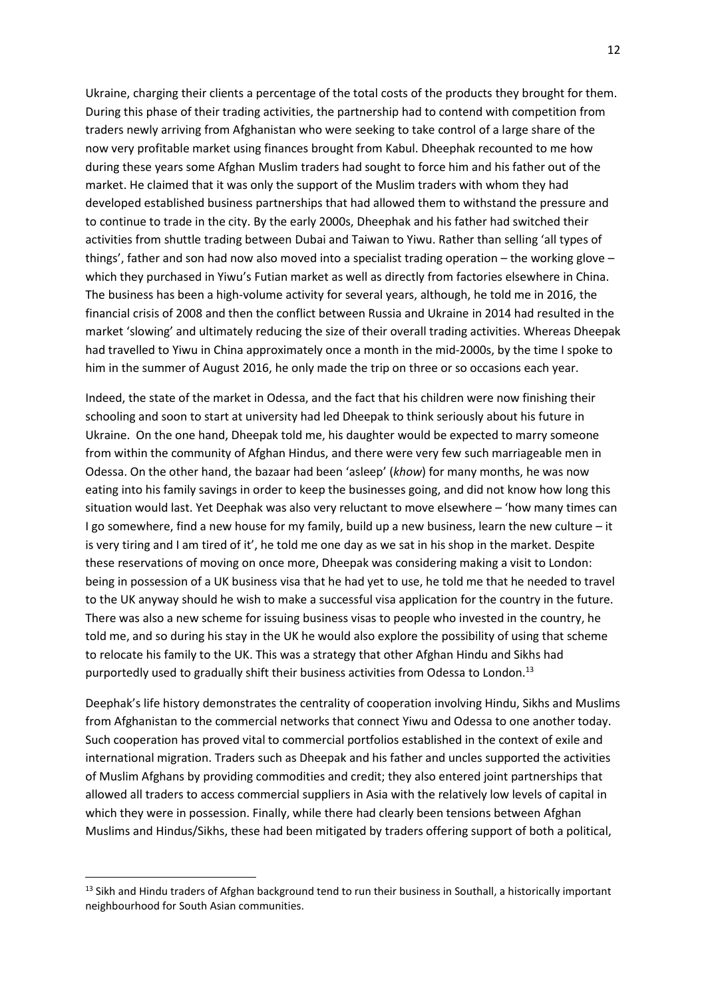Ukraine, charging their clients a percentage of the total costs of the products they brought for them. During this phase of their trading activities, the partnership had to contend with competition from traders newly arriving from Afghanistan who were seeking to take control of a large share of the now very profitable market using finances brought from Kabul. Dheephak recounted to me how during these years some Afghan Muslim traders had sought to force him and his father out of the market. He claimed that it was only the support of the Muslim traders with whom they had developed established business partnerships that had allowed them to withstand the pressure and to continue to trade in the city. By the early 2000s, Dheephak and his father had switched their activities from shuttle trading between Dubai and Taiwan to Yiwu. Rather than selling 'all types of things', father and son had now also moved into a specialist trading operation – the working glove – which they purchased in Yiwu's Futian market as well as directly from factories elsewhere in China. The business has been a high-volume activity for several years, although, he told me in 2016, the financial crisis of 2008 and then the conflict between Russia and Ukraine in 2014 had resulted in the market 'slowing' and ultimately reducing the size of their overall trading activities. Whereas Dheepak had travelled to Yiwu in China approximately once a month in the mid-2000s, by the time I spoke to him in the summer of August 2016, he only made the trip on three or so occasions each year.

Indeed, the state of the market in Odessa, and the fact that his children were now finishing their schooling and soon to start at university had led Dheepak to think seriously about his future in Ukraine. On the one hand, Dheepak told me, his daughter would be expected to marry someone from within the community of Afghan Hindus, and there were very few such marriageable men in Odessa. On the other hand, the bazaar had been 'asleep' (*khow*) for many months, he was now eating into his family savings in order to keep the businesses going, and did not know how long this situation would last. Yet Deephak was also very reluctant to move elsewhere – 'how many times can I go somewhere, find a new house for my family, build up a new business, learn the new culture – it is very tiring and I am tired of it', he told me one day as we sat in his shop in the market. Despite these reservations of moving on once more, Dheepak was considering making a visit to London: being in possession of a UK business visa that he had yet to use, he told me that he needed to travel to the UK anyway should he wish to make a successful visa application for the country in the future. There was also a new scheme for issuing business visas to people who invested in the country, he told me, and so during his stay in the UK he would also explore the possibility of using that scheme to relocate his family to the UK. This was a strategy that other Afghan Hindu and Sikhs had purportedly used to gradually shift their business activities from Odessa to London.<sup>13</sup>

Deephak's life history demonstrates the centrality of cooperation involving Hindu, Sikhs and Muslims from Afghanistan to the commercial networks that connect Yiwu and Odessa to one another today. Such cooperation has proved vital to commercial portfolios established in the context of exile and international migration. Traders such as Dheepak and his father and uncles supported the activities of Muslim Afghans by providing commodities and credit; they also entered joint partnerships that allowed all traders to access commercial suppliers in Asia with the relatively low levels of capital in which they were in possession. Finally, while there had clearly been tensions between Afghan Muslims and Hindus/Sikhs, these had been mitigated by traders offering support of both a political,

1

<sup>&</sup>lt;sup>13</sup> Sikh and Hindu traders of Afghan background tend to run their business in Southall, a historically important neighbourhood for South Asian communities.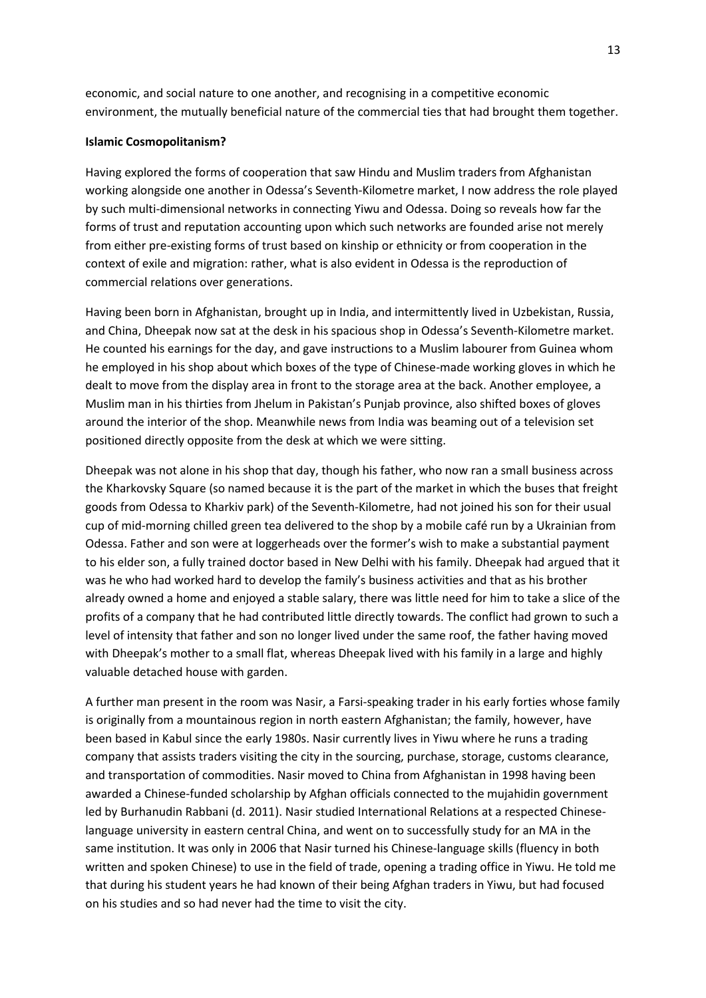economic, and social nature to one another, and recognising in a competitive economic environment, the mutually beneficial nature of the commercial ties that had brought them together.

#### **Islamic Cosmopolitanism?**

Having explored the forms of cooperation that saw Hindu and Muslim traders from Afghanistan working alongside one another in Odessa's Seventh-Kilometre market, I now address the role played by such multi-dimensional networks in connecting Yiwu and Odessa. Doing so reveals how far the forms of trust and reputation accounting upon which such networks are founded arise not merely from either pre-existing forms of trust based on kinship or ethnicity or from cooperation in the context of exile and migration: rather, what is also evident in Odessa is the reproduction of commercial relations over generations.

Having been born in Afghanistan, brought up in India, and intermittently lived in Uzbekistan, Russia, and China, Dheepak now sat at the desk in his spacious shop in Odessa's Seventh-Kilometre market. He counted his earnings for the day, and gave instructions to a Muslim labourer from Guinea whom he employed in his shop about which boxes of the type of Chinese-made working gloves in which he dealt to move from the display area in front to the storage area at the back. Another employee, a Muslim man in his thirties from Jhelum in Pakistan's Punjab province, also shifted boxes of gloves around the interior of the shop. Meanwhile news from India was beaming out of a television set positioned directly opposite from the desk at which we were sitting.

Dheepak was not alone in his shop that day, though his father, who now ran a small business across the Kharkovsky Square (so named because it is the part of the market in which the buses that freight goods from Odessa to Kharkiv park) of the Seventh-Kilometre, had not joined his son for their usual cup of mid-morning chilled green tea delivered to the shop by a mobile café run by a Ukrainian from Odessa. Father and son were at loggerheads over the former's wish to make a substantial payment to his elder son, a fully trained doctor based in New Delhi with his family. Dheepak had argued that it was he who had worked hard to develop the family's business activities and that as his brother already owned a home and enjoyed a stable salary, there was little need for him to take a slice of the profits of a company that he had contributed little directly towards. The conflict had grown to such a level of intensity that father and son no longer lived under the same roof, the father having moved with Dheepak's mother to a small flat, whereas Dheepak lived with his family in a large and highly valuable detached house with garden.

A further man present in the room was Nasir, a Farsi-speaking trader in his early forties whose family is originally from a mountainous region in north eastern Afghanistan; the family, however, have been based in Kabul since the early 1980s. Nasir currently lives in Yiwu where he runs a trading company that assists traders visiting the city in the sourcing, purchase, storage, customs clearance, and transportation of commodities. Nasir moved to China from Afghanistan in 1998 having been awarded a Chinese-funded scholarship by Afghan officials connected to the mujahidin government led by Burhanudin Rabbani (d. 2011). Nasir studied International Relations at a respected Chineselanguage university in eastern central China, and went on to successfully study for an MA in the same institution. It was only in 2006 that Nasir turned his Chinese-language skills (fluency in both written and spoken Chinese) to use in the field of trade, opening a trading office in Yiwu. He told me that during his student years he had known of their being Afghan traders in Yiwu, but had focused on his studies and so had never had the time to visit the city.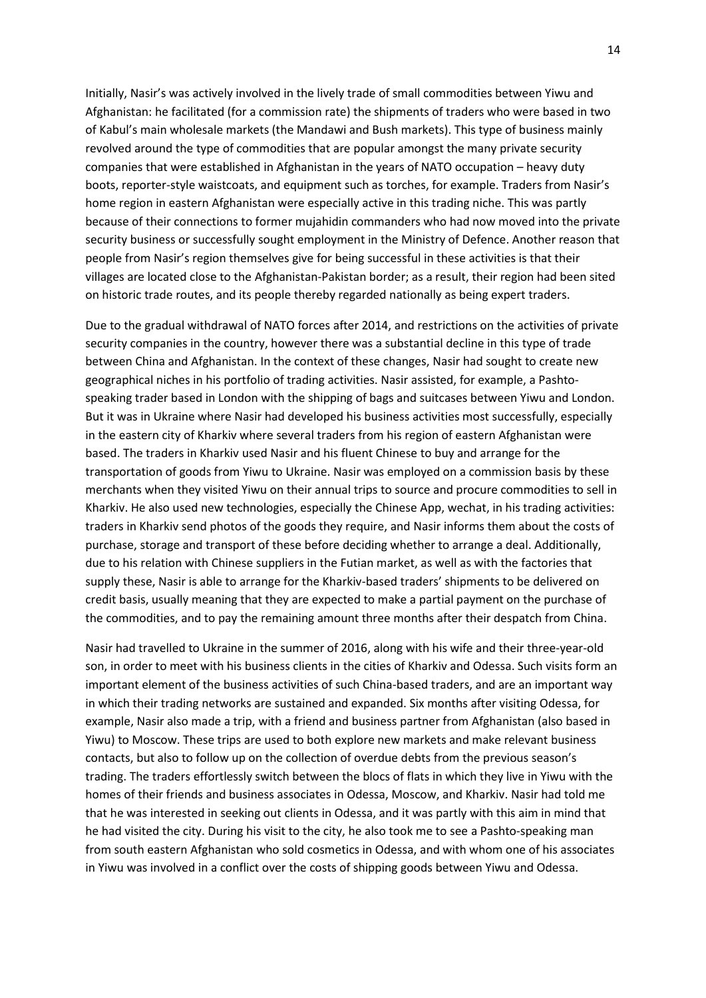Initially, Nasir's was actively involved in the lively trade of small commodities between Yiwu and Afghanistan: he facilitated (for a commission rate) the shipments of traders who were based in two of Kabul's main wholesale markets (the Mandawi and Bush markets). This type of business mainly revolved around the type of commodities that are popular amongst the many private security companies that were established in Afghanistan in the years of NATO occupation – heavy duty boots, reporter-style waistcoats, and equipment such as torches, for example. Traders from Nasir's home region in eastern Afghanistan were especially active in this trading niche. This was partly because of their connections to former mujahidin commanders who had now moved into the private security business or successfully sought employment in the Ministry of Defence. Another reason that people from Nasir's region themselves give for being successful in these activities is that their villages are located close to the Afghanistan-Pakistan border; as a result, their region had been sited on historic trade routes, and its people thereby regarded nationally as being expert traders.

Due to the gradual withdrawal of NATO forces after 2014, and restrictions on the activities of private security companies in the country, however there was a substantial decline in this type of trade between China and Afghanistan. In the context of these changes, Nasir had sought to create new geographical niches in his portfolio of trading activities. Nasir assisted, for example, a Pashtospeaking trader based in London with the shipping of bags and suitcases between Yiwu and London. But it was in Ukraine where Nasir had developed his business activities most successfully, especially in the eastern city of Kharkiv where several traders from his region of eastern Afghanistan were based. The traders in Kharkiv used Nasir and his fluent Chinese to buy and arrange for the transportation of goods from Yiwu to Ukraine. Nasir was employed on a commission basis by these merchants when they visited Yiwu on their annual trips to source and procure commodities to sell in Kharkiv. He also used new technologies, especially the Chinese App, wechat, in his trading activities: traders in Kharkiv send photos of the goods they require, and Nasir informs them about the costs of purchase, storage and transport of these before deciding whether to arrange a deal. Additionally, due to his relation with Chinese suppliers in the Futian market, as well as with the factories that supply these, Nasir is able to arrange for the Kharkiv-based traders' shipments to be delivered on credit basis, usually meaning that they are expected to make a partial payment on the purchase of the commodities, and to pay the remaining amount three months after their despatch from China.

Nasir had travelled to Ukraine in the summer of 2016, along with his wife and their three-year-old son, in order to meet with his business clients in the cities of Kharkiv and Odessa. Such visits form an important element of the business activities of such China-based traders, and are an important way in which their trading networks are sustained and expanded. Six months after visiting Odessa, for example, Nasir also made a trip, with a friend and business partner from Afghanistan (also based in Yiwu) to Moscow. These trips are used to both explore new markets and make relevant business contacts, but also to follow up on the collection of overdue debts from the previous season's trading. The traders effortlessly switch between the blocs of flats in which they live in Yiwu with the homes of their friends and business associates in Odessa, Moscow, and Kharkiv. Nasir had told me that he was interested in seeking out clients in Odessa, and it was partly with this aim in mind that he had visited the city. During his visit to the city, he also took me to see a Pashto-speaking man from south eastern Afghanistan who sold cosmetics in Odessa, and with whom one of his associates in Yiwu was involved in a conflict over the costs of shipping goods between Yiwu and Odessa.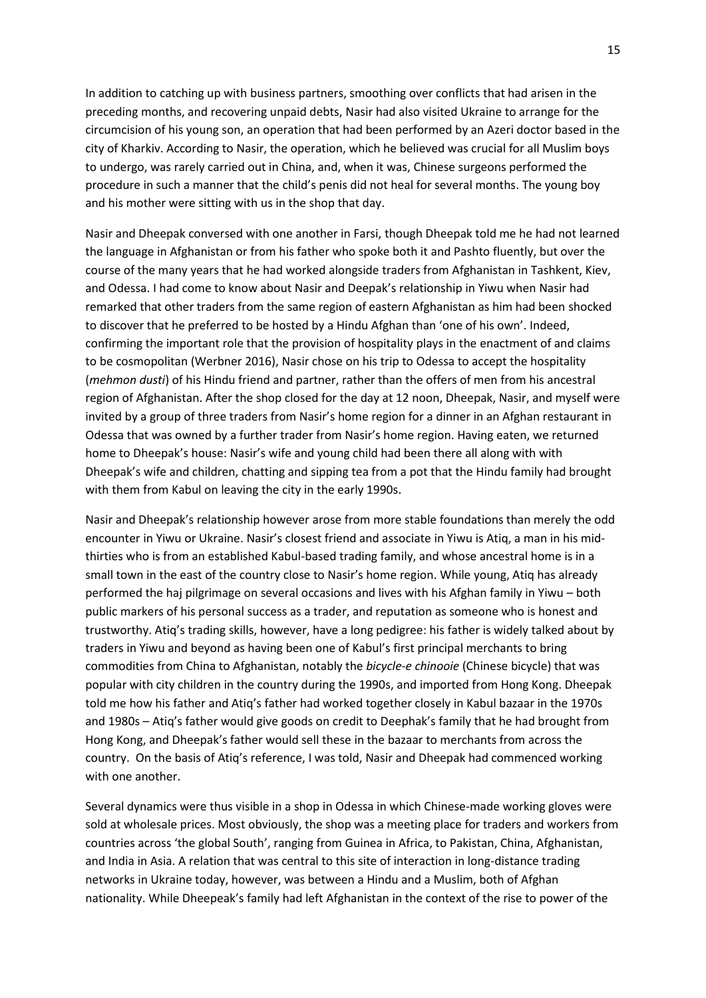In addition to catching up with business partners, smoothing over conflicts that had arisen in the preceding months, and recovering unpaid debts, Nasir had also visited Ukraine to arrange for the circumcision of his young son, an operation that had been performed by an Azeri doctor based in the city of Kharkiv. According to Nasir, the operation, which he believed was crucial for all Muslim boys to undergo, was rarely carried out in China, and, when it was, Chinese surgeons performed the procedure in such a manner that the child's penis did not heal for several months. The young boy and his mother were sitting with us in the shop that day.

Nasir and Dheepak conversed with one another in Farsi, though Dheepak told me he had not learned the language in Afghanistan or from his father who spoke both it and Pashto fluently, but over the course of the many years that he had worked alongside traders from Afghanistan in Tashkent, Kiev, and Odessa. I had come to know about Nasir and Deepak's relationship in Yiwu when Nasir had remarked that other traders from the same region of eastern Afghanistan as him had been shocked to discover that he preferred to be hosted by a Hindu Afghan than 'one of his own'. Indeed, confirming the important role that the provision of hospitality plays in the enactment of and claims to be cosmopolitan (Werbner 2016), Nasir chose on his trip to Odessa to accept the hospitality (*mehmon dusti*) of his Hindu friend and partner, rather than the offers of men from his ancestral region of Afghanistan. After the shop closed for the day at 12 noon, Dheepak, Nasir, and myself were invited by a group of three traders from Nasir's home region for a dinner in an Afghan restaurant in Odessa that was owned by a further trader from Nasir's home region. Having eaten, we returned home to Dheepak's house: Nasir's wife and young child had been there all along with with Dheepak's wife and children, chatting and sipping tea from a pot that the Hindu family had brought with them from Kabul on leaving the city in the early 1990s.

Nasir and Dheepak's relationship however arose from more stable foundations than merely the odd encounter in Yiwu or Ukraine. Nasir's closest friend and associate in Yiwu is Atiq, a man in his midthirties who is from an established Kabul-based trading family, and whose ancestral home is in a small town in the east of the country close to Nasir's home region. While young, Atiq has already performed the haj pilgrimage on several occasions and lives with his Afghan family in Yiwu – both public markers of his personal success as a trader, and reputation as someone who is honest and trustworthy. Atiq's trading skills, however, have a long pedigree: his father is widely talked about by traders in Yiwu and beyond as having been one of Kabul's first principal merchants to bring commodities from China to Afghanistan, notably the *bicycle-e chinooie* (Chinese bicycle) that was popular with city children in the country during the 1990s, and imported from Hong Kong. Dheepak told me how his father and Atiq's father had worked together closely in Kabul bazaar in the 1970s and 1980s – Atiq's father would give goods on credit to Deephak's family that he had brought from Hong Kong, and Dheepak's father would sell these in the bazaar to merchants from across the country. On the basis of Atiq's reference, I was told, Nasir and Dheepak had commenced working with one another.

Several dynamics were thus visible in a shop in Odessa in which Chinese-made working gloves were sold at wholesale prices. Most obviously, the shop was a meeting place for traders and workers from countries across 'the global South', ranging from Guinea in Africa, to Pakistan, China, Afghanistan, and India in Asia. A relation that was central to this site of interaction in long-distance trading networks in Ukraine today, however, was between a Hindu and a Muslim, both of Afghan nationality. While Dheepeak's family had left Afghanistan in the context of the rise to power of the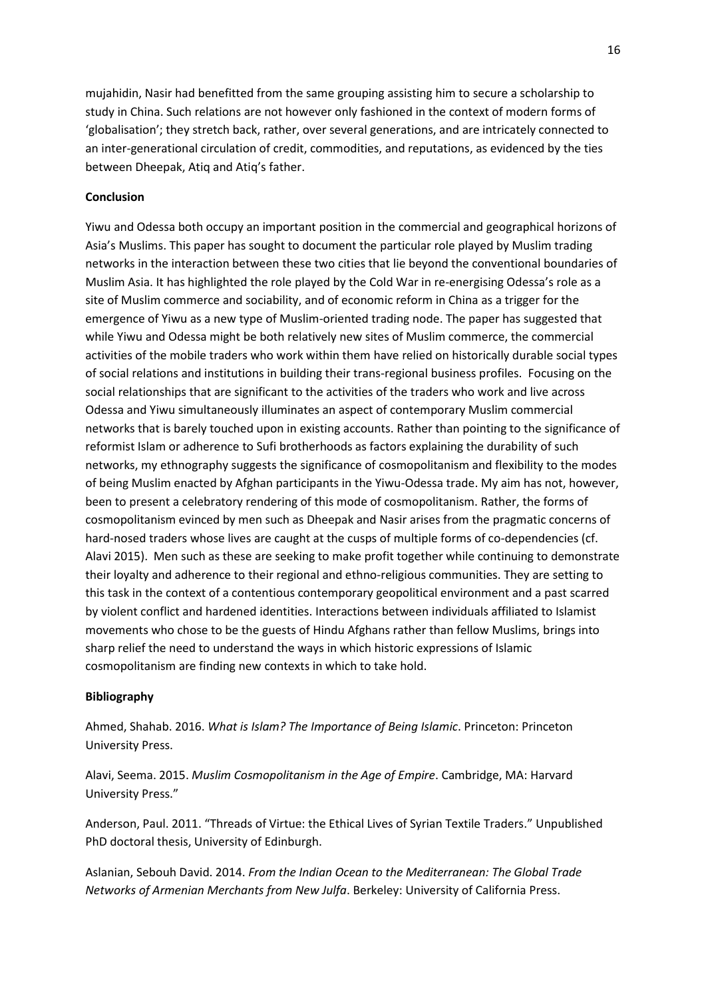mujahidin, Nasir had benefitted from the same grouping assisting him to secure a scholarship to study in China. Such relations are not however only fashioned in the context of modern forms of 'globalisation'; they stretch back, rather, over several generations, and are intricately connected to an inter-generational circulation of credit, commodities, and reputations, as evidenced by the ties between Dheepak, Atiq and Atiq's father.

## **Conclusion**

Yiwu and Odessa both occupy an important position in the commercial and geographical horizons of Asia's Muslims. This paper has sought to document the particular role played by Muslim trading networks in the interaction between these two cities that lie beyond the conventional boundaries of Muslim Asia. It has highlighted the role played by the Cold War in re-energising Odessa's role as a site of Muslim commerce and sociability, and of economic reform in China as a trigger for the emergence of Yiwu as a new type of Muslim-oriented trading node. The paper has suggested that while Yiwu and Odessa might be both relatively new sites of Muslim commerce, the commercial activities of the mobile traders who work within them have relied on historically durable social types of social relations and institutions in building their trans-regional business profiles. Focusing on the social relationships that are significant to the activities of the traders who work and live across Odessa and Yiwu simultaneously illuminates an aspect of contemporary Muslim commercial networks that is barely touched upon in existing accounts. Rather than pointing to the significance of reformist Islam or adherence to Sufi brotherhoods as factors explaining the durability of such networks, my ethnography suggests the significance of cosmopolitanism and flexibility to the modes of being Muslim enacted by Afghan participants in the Yiwu-Odessa trade. My aim has not, however, been to present a celebratory rendering of this mode of cosmopolitanism. Rather, the forms of cosmopolitanism evinced by men such as Dheepak and Nasir arises from the pragmatic concerns of hard-nosed traders whose lives are caught at the cusps of multiple forms of co-dependencies (cf. Alavi 2015). Men such as these are seeking to make profit together while continuing to demonstrate their loyalty and adherence to their regional and ethno-religious communities. They are setting to this task in the context of a contentious contemporary geopolitical environment and a past scarred by violent conflict and hardened identities. Interactions between individuals affiliated to Islamist movements who chose to be the guests of Hindu Afghans rather than fellow Muslims, brings into sharp relief the need to understand the ways in which historic expressions of Islamic cosmopolitanism are finding new contexts in which to take hold.

### **Bibliography**

Ahmed, Shahab. 2016. *What is Islam? The Importance of Being Islamic*. Princeton: Princeton University Press.

Alavi, Seema. 2015. *Muslim Cosmopolitanism in the Age of Empire*. Cambridge, MA: Harvard University Press."

Anderson, Paul. 2011. "Threads of Virtue: the Ethical Lives of Syrian Textile Traders." Unpublished PhD doctoral thesis, University of Edinburgh.

Aslanian, Sebouh David. 2014. *From the Indian Ocean to the Mediterranean: The Global Trade Networks of Armenian Merchants from New Julfa*. Berkeley: University of California Press.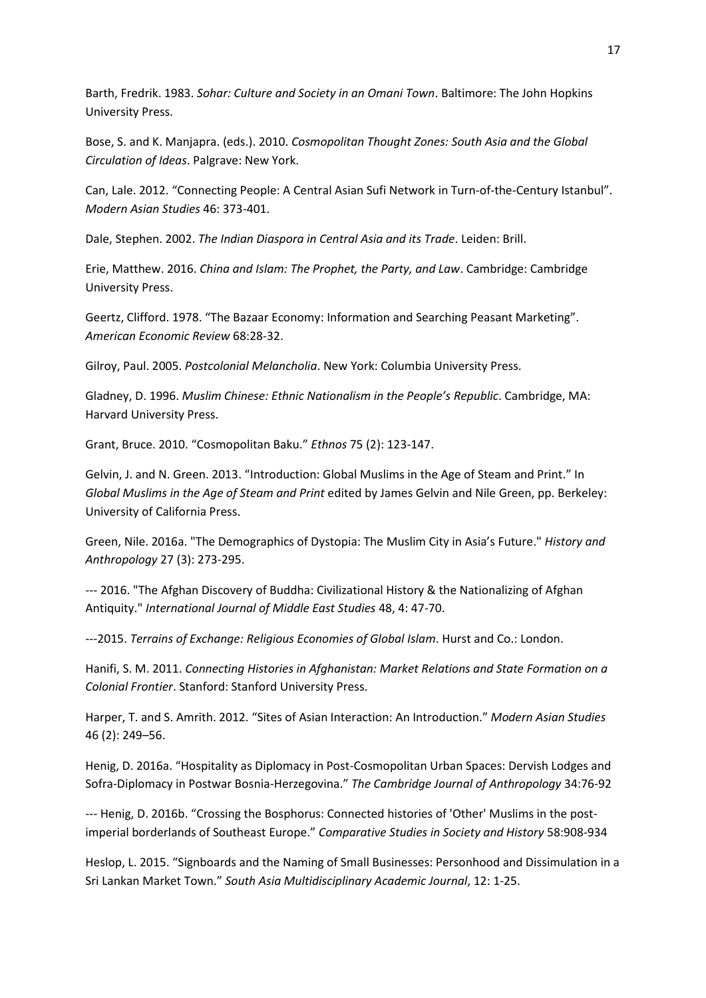Barth, Fredrik. 1983. *Sohar: Culture and Society in an Omani Town*. Baltimore: The John Hopkins University Press.

Bose, S. and K. Manjapra. (eds.). 2010. *Cosmopolitan Thought Zones: South Asia and the Global Circulation of Ideas*. Palgrave: New York.

Can, Lale. 2012. "Connecting People: A Central Asian Sufi Network in Turn-of-the-Century Istanbul". *Modern Asian Studies* 46: 373-401.

Dale, Stephen. 2002. *The Indian Diaspora in Central Asia and its Trade*. Leiden: Brill.

Erie, Matthew. 2016. *China and Islam: The Prophet, the Party, and Law*. Cambridge: Cambridge University Press.

Geertz, Clifford. 1978. "The Bazaar Economy: Information and Searching Peasant Marketing". *American Economic Review* 68:28-32.

Gilroy, Paul. 2005. *Postcolonial Melancholia*. New York: Columbia University Press.

Gladney, D. 1996. *Muslim Chinese: Ethnic Nationalism in the People's Republic*. Cambridge, MA: Harvard University Press.

Grant, Bruce. 2010. "Cosmopolitan Baku." *Ethnos* 75 (2): 123-147.

Gelvin, J. and N. Green. 2013. "Introduction: Global Muslims in the Age of Steam and Print." In *Global Muslims in the Age of Steam and Print* edited by James Gelvin and Nile Green, pp. Berkeley: University of California Press.

Green, Nile. 2016a. "The Demographics of Dystopia: The Muslim City in Asia's Future." *History and Anthropology* 27 (3): 273-295.

--- 2016. "The Afghan Discovery of Buddha: Civilizational History & the Nationalizing of Afghan Antiquity." *International Journal of Middle East Studies* 48, 4: 47-70.

---2015. *Terrains of Exchange: Religious Economies of Global Islam*. Hurst and Co.: London.

Hanifi, S. M. 2011. *Connecting Histories in Afghanistan: Market Relations and State Formation on a Colonial Frontier*. Stanford: Stanford University Press.

Harper, T. and S. Amrith. 2012. "Sites of Asian Interaction: An Introduction." *Modern Asian Studies* 46 (2): 249–56.

Henig, D. 2016a. "Hospitality as Diplomacy in Post-Cosmopolitan Urban Spaces: Dervish Lodges and Sofra-Diplomacy in Postwar Bosnia-Herzegovina." *The Cambridge Journal of Anthropology* 34:76-92

--- Henig, D. 2016b. "Crossing the Bosphorus: Connected histories of 'Other' Muslims in the postimperial borderlands of Southeast Europe." *Comparative Studies in Society and History* 58:908-934

Heslop, L. 2015. "Signboards and the Naming of Small Businesses: Personhood and Dissimulation in a Sri Lankan Market Town." *South Asia Multidisciplinary Academic Journal*, 12: 1-25.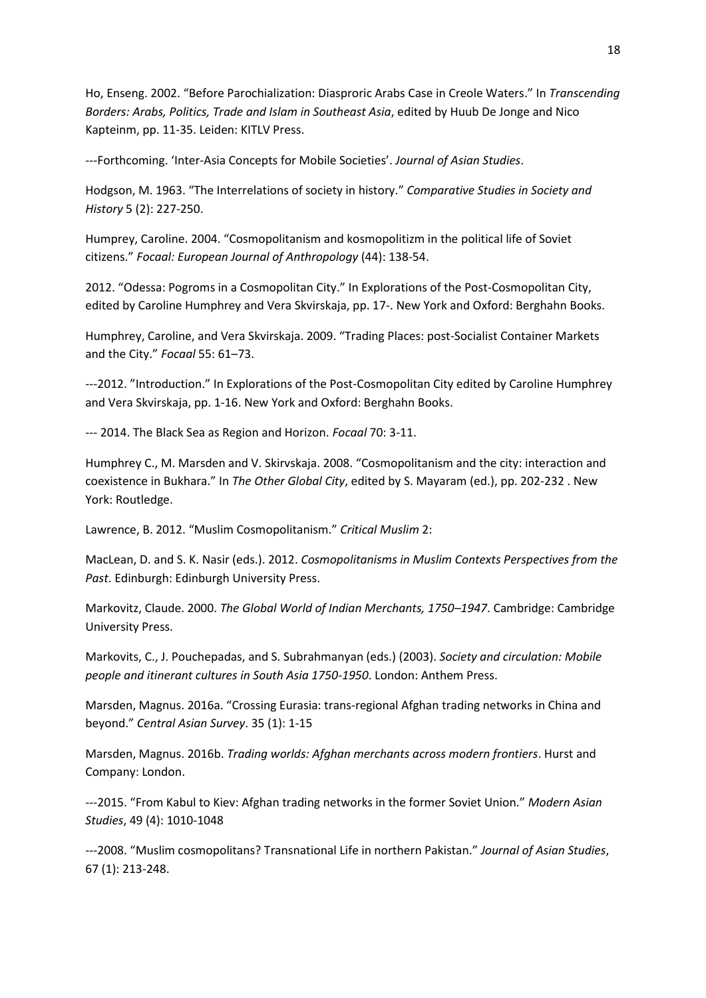Ho, Enseng. 2002. "Before Parochialization: Diasproric Arabs Case in Creole Waters." In *Transcending Borders: Arabs, Politics, Trade and Islam in Southeast Asia*, edited by Huub De Jonge and Nico Kapteinm, pp. 11-35. Leiden: KITLV Press.

---Forthcoming. 'Inter-Asia Concepts for Mobile Societies'. *Journal of Asian Studies*.

Hodgson, M. 1963. "The Interrelations of society in history." *Comparative Studies in Society and History* 5 (2): 227-250.

Humprey, Caroline. 2004. "Cosmopolitanism and kosmopolitizm in the political life of Soviet citizens." *Focaal: European Journal of Anthropology* (44): 138-54.

2012. "Odessa: Pogroms in a Cosmopolitan City." In Explorations of the Post-Cosmopolitan City, edited by Caroline Humphrey and Vera Skvirskaja, pp. 17-. New York and Oxford: Berghahn Books.

Humphrey, Caroline, and Vera Skvirskaja. 2009. "Trading Places: post-Socialist Container Markets and the City." *Focaal* 55: 61–73.

---2012. "Introduction." In Explorations of the Post-Cosmopolitan City edited by Caroline Humphrey and Vera Skvirskaja, pp. 1-16. New York and Oxford: Berghahn Books.

--- 2014. The Black Sea as Region and Horizon. *Focaal* 70: 3-11.

Humphrey C., M. Marsden and V. Skirvskaja. 2008. "Cosmopolitanism and the city: interaction and coexistence in Bukhara." In *The Other Global City*, edited by S. Mayaram (ed.), pp. 202-232 . New York: Routledge.

Lawrence, B. 2012. "Muslim Cosmopolitanism." *Critical Muslim* 2:

MacLean, D. and S. K. Nasir (eds.). 2012. *Cosmopolitanisms in Muslim Contexts Perspectives from the Past*. Edinburgh: Edinburgh University Press.

Markovitz, Claude. 2000. *The Global World of Indian Merchants, 1750–1947*. Cambridge: Cambridge University Press.

Markovits, C., J. Pouchepadas, and S. Subrahmanyan (eds.) (2003). *Society and circulation: Mobile people and itinerant cultures in South Asia 1750-1950*. London: Anthem Press.

Marsden, Magnus. 2016a. "Crossing Eurasia: trans-regional Afghan trading networks in China and beyond." *Central Asian Survey*. 35 (1): 1-15

Marsden, Magnus. 2016b. *Trading worlds: Afghan merchants across modern frontiers*. Hurst and Company: London.

---2015. "From Kabul to Kiev: Afghan trading networks in the former Soviet Union." *Modern Asian Studies*, 49 (4): 1010-1048

---2008. "Muslim cosmopolitans? Transnational Life in northern Pakistan." *Journal of Asian Studies*, 67 (1): 213-248.